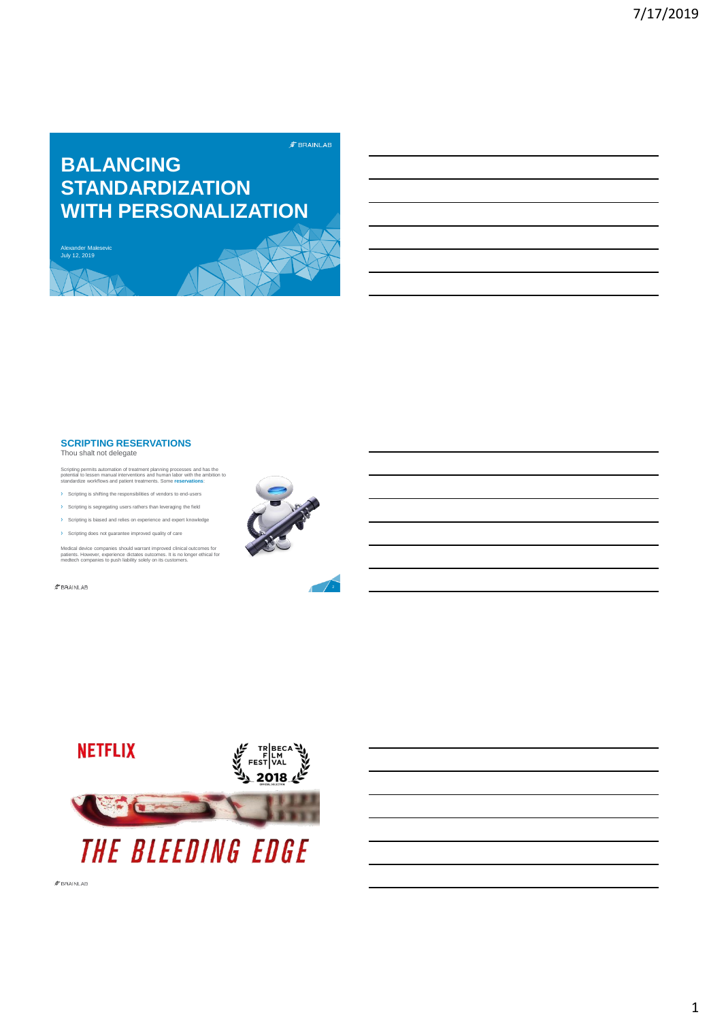# **BALANCING STANDARDIZATION WITH PERSONALIZATION**

Alexander Malesevic July 12, 2019



#### **SCRIPTING RESERVATIONS** Thou shalt not delegate

Scripting permits automation of treatment planning processes and has the<br>potential to lessen manual interventions and human labor with the ambition to<br>standardize workflows and patient treatments. Some **reservations**:

- Scripting is shifting the responsibilities of vendors to end-users
- Scripting is segregating users rathers than leveraging the field
- g is biased and relies on experience and e
- › Scripting does not guarantee improved quality of care

Medical device companies should warrant improved clinical outcomes for<br>patients. However, experience dictates outcomes. It is no longer ethical for<br>medtech companies to push liability solely on its customers.

 $\not\hspace{-1.2mm}E$ BRAINLAB



 $\hat{z}$  BRAINLAB

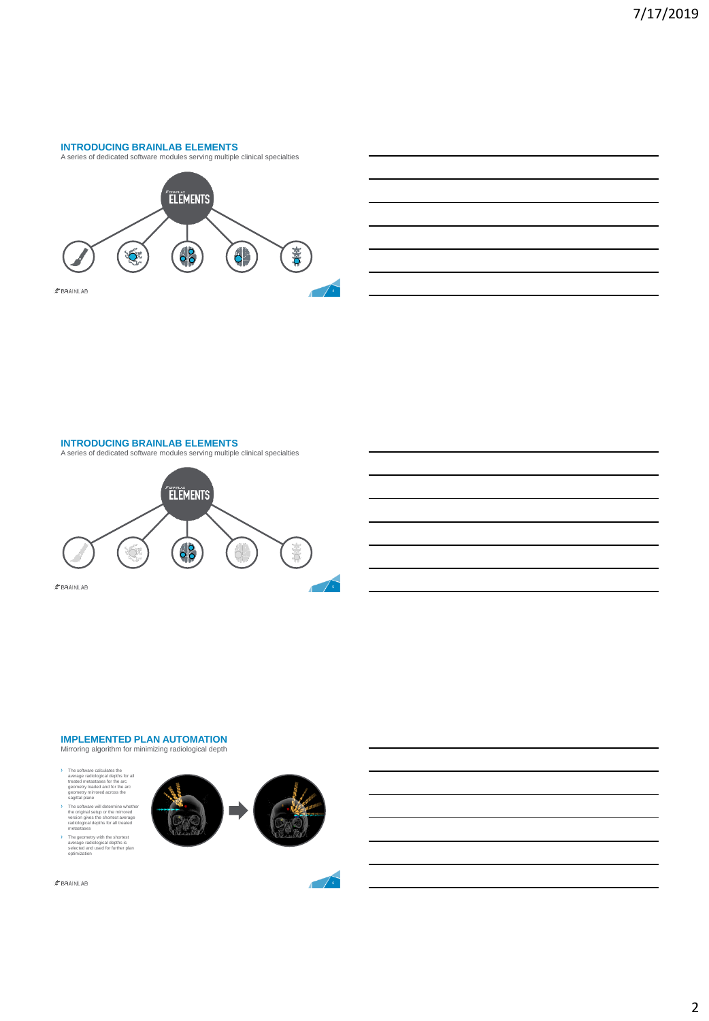#### **INTRODUCING BRAINLAB ELEMENTS** A series of dedicated software modules serving multiple clinical specialties





#### **INTRODUCING BRAINLAB ELEMENTS**



## **IMPLEMENTED PLAN AUTOMATION** Mirroring algorithm for minimizing radiological depth

› The software calculates the average radiological depths for all treated metastases for the arc geometry loaded and for the arc geometry mirrored across the sagittal plane › The software will determine whether the original setup or the mirrored version gives the shortest average radiological depths for all treated metastases › The geometry with the shortest average radiological depths is selected and used for further plan optimization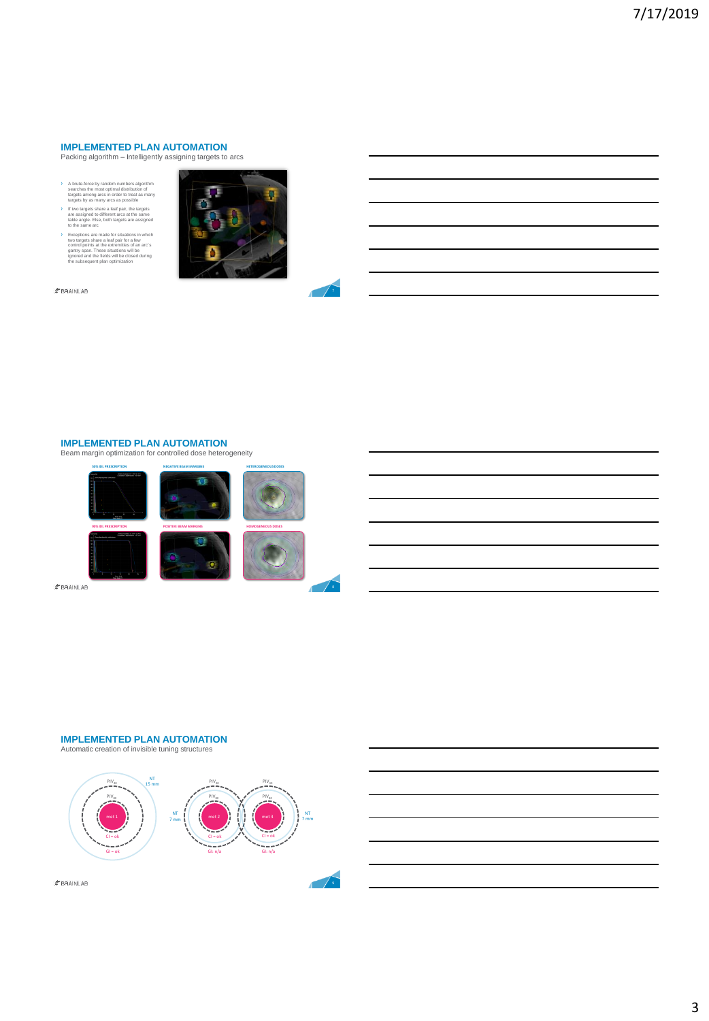#### **IMPLEMENTED PLAN AUTOMATION** Packing algorithm – Intelligently assigning targets to arcs

- › A brute-force by random numbers algorithm searches the most optimal distribution of targets among arcs in order to treat as many targets by as many arcs as possible
- › If two targets share a leaf pair, the targets are assigned to different arcs at the same table angle. Else, both targets are assigned to the same arc
- Exceptions are made for situations in which<br>two targets share a leaf pair for a few<br>control points at the extremities of an arc's<br>gantry span. These situations will be<br>ignored and the fields will be closed during<br>the subse





## **IMPLEMENTED PLAN AUTOMATION**

Beam margin optimization for controlled dose heterogeneity



 $$BRAINLAB$ 

#### **IMPLEMENTED PLAN AUTOMATION**





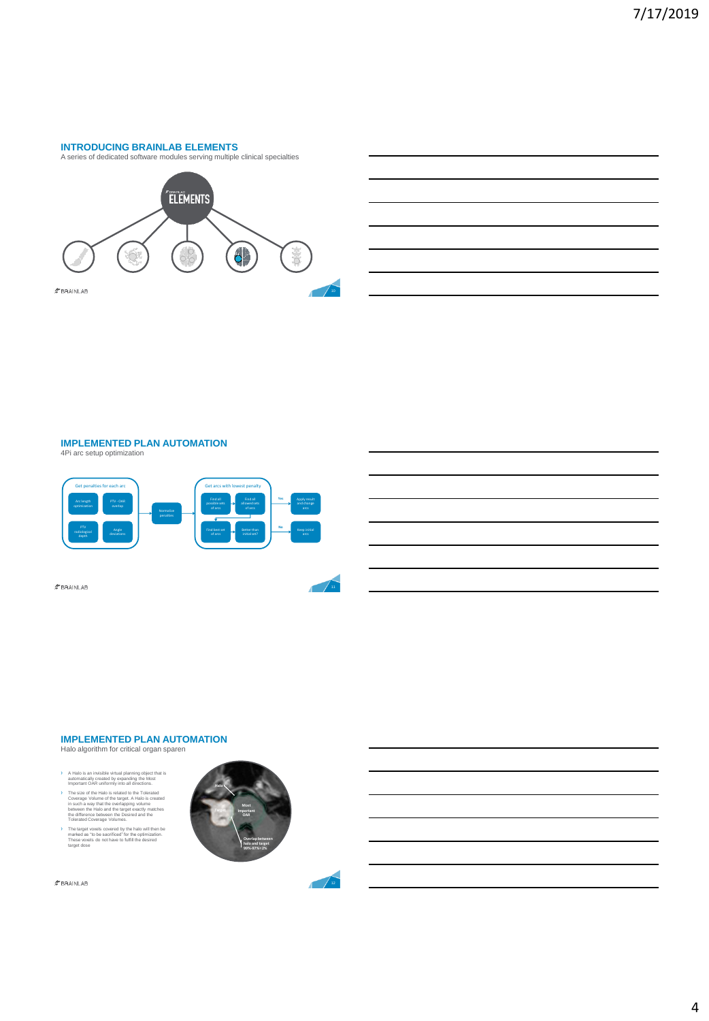## **INTRODUCING BRAINLAB ELEMENTS**





#### **IMPLEMENTED PLAN AUTOMATION** 4Pi arc setup optimization



 $$BRAINLAB$ 

#### **IMPLEMENTED PLAN AUTOMATION**

Halo algorithm for critical organ sparen

- 
- A Halo is an invisible virtual planning object that is<br>automatically created by expanding the Most<br>important OAR uniformly into all directions.<br>The size of the Halo is related to the Tolerated<br>Coverage Volume of the staget
- › The target voxels covered by the halo will then be marked as "to be sacrificed" for the optimization. These voxels do not have to fulfill the desired target dose

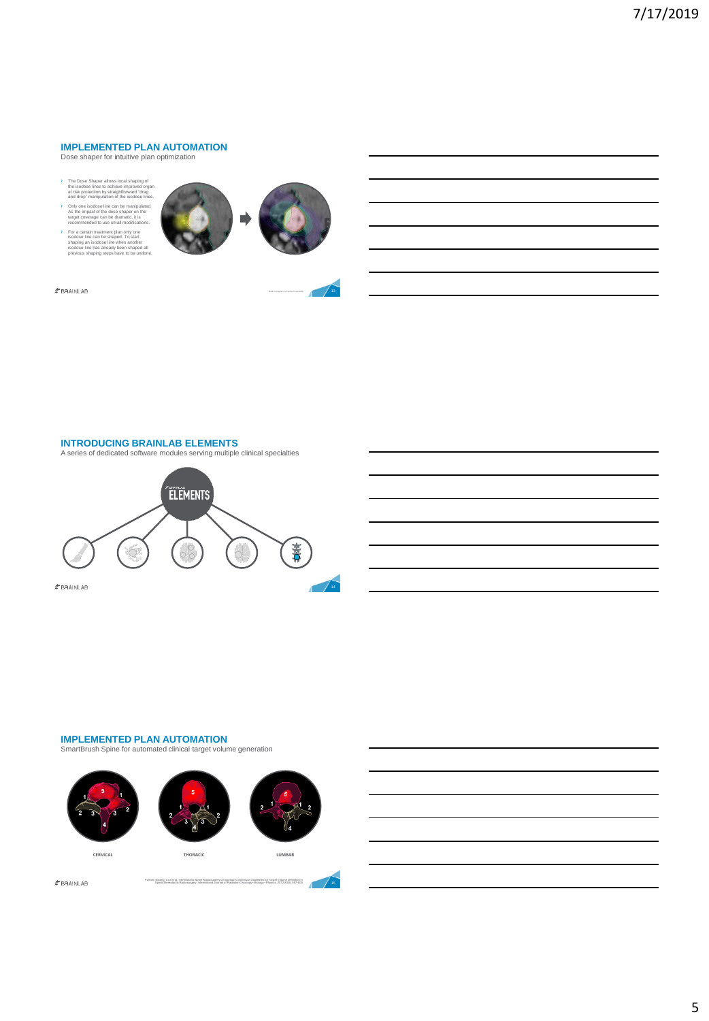#### **IMPLEMENTED PLAN AUTOMATION** Dose shaper for intuitive plan optimization

- › The Dose Shaper allows local shaping of the isodose lines to achieve improved organ at risk protection by straightforward "drag and drop" manipulation of the isodose lines.
- › Only one isodose line can be manipulated. As the impact of the dose shaper on the target coverage can be dramatic, it is recommended to use small modifications.
- › For a certain treatment plan only one isodose line can be shaped. To start shaping an isodose line when another isodose line has already been shaped all previous shaping steps have to be undone.





 $\hat{\pi}$ BRAINLAB

#### **INTRODUCING BRAINLAB ELEMENTS**

A series of dedicated software modules serving multiple clinical specialties



#### **IMPLEMENTED PLAN AUTOMATION**

SmartBrush Spine for automated clinical target volume generation

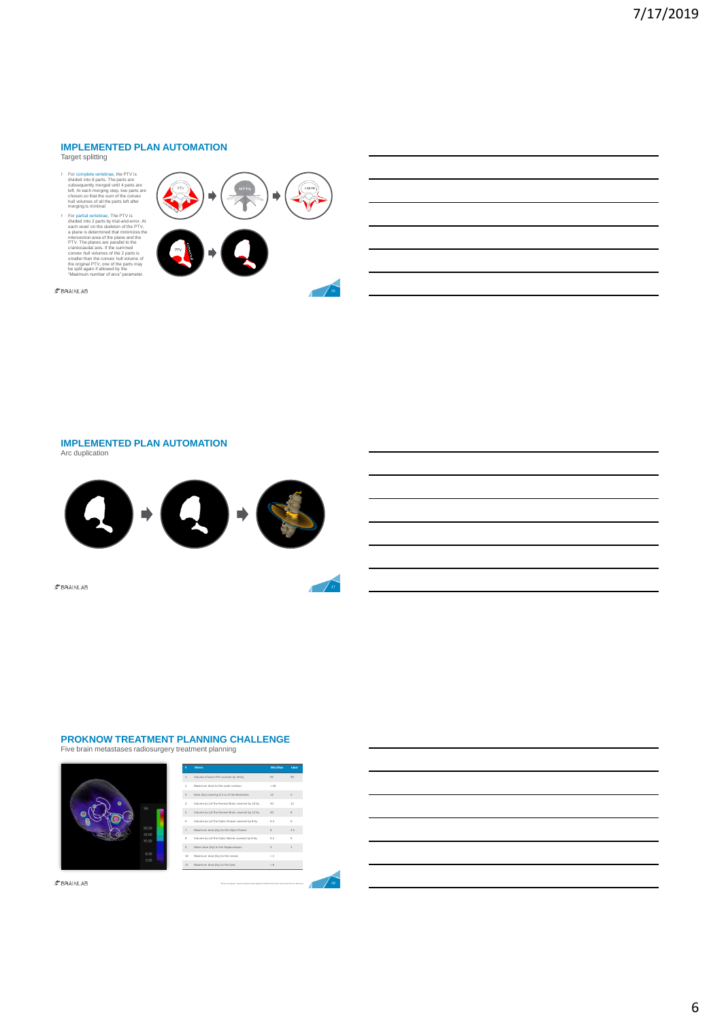### **IMPLEMENTED PLAN AUTOMATION**

Target splitting

> For complete vertebrae, the PTV is<br>divided into 8 parts. The parts are<br>subsequently merged until 4 parts are<br>left. At each merging step, two parts are<br>chosen so that the sum of the convex<br>hull volumes of all the parts le

For partial vertebra, The PTV is<br>consider that discussed on the state of the state of the space of the<br>and a space is determined that merric. At a plane is determined that minimizes the<br>analog behavior of the plane and th



 $\hat{\mathcal{F}}$ BRAINLAB

#### **IMPLEMENTED PLAN AUTOMATION** Arc duplication



 $$BRAINLAB$ 

### **PROKNOW TREATMENT PLANNING CHALLENGE**

Five brain metastases radiosurgery treatment planning

| ۰ | ٠                       |
|---|-------------------------|
|   | 20:00<br>12.00<br>10.00 |
|   | 8.00<br>3.00            |

| ٠                       | Metric                                           | Min/Max                 | Ideal |
|-------------------------|--------------------------------------------------|-------------------------|-------|
| f.                      | Volume of each GTV covered by 20 Ox              | 95                      | 00    |
| $\overline{z}$          | Maximum dase to the outer contour                | $\times$ 40             |       |
| $\overline{\mathbf{3}}$ | Dose (Oy) covering 0.3 cc of the Brainstern      | 12                      | s.    |
| A                       | Volume (cc) of the Normal Brain covered by 10 Oy | 30                      | 12    |
| s                       | Volume (cc) of the Normal Brain covered by 12 Ov | 20                      | š     |
| 6                       | Volume (cc) of the Ootic Chiasm covered by 8 Gy  | 0.2                     | ö     |
| $\overline{z}$          | Maximum dose (Gy) to the Ootic Chiasm            | 8                       | 2.5   |
| $\bar{8}$               | Volume (cc) of the Ootic Nerves covered by 8 Gy  | 0.2                     | ö     |
| $\mathfrak{D}$          | Mean dose (Qy) to the Hippocampus                | $\overline{\mathbf{3}}$ | 1     |
| 10                      | Maximum dose (Gy) to the Lenses                  | $\rightarrow$           |       |
| 11                      | Maximum dose (Gy) to the Eyes                    | < 8                     |       |